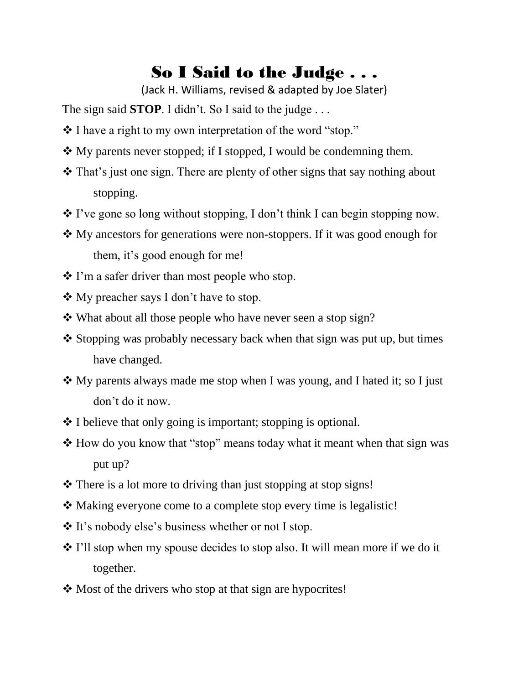## So I Said to the Judge . . .

(Jack H. Williams, revised & adapted by Joe Slater)

The sign said **STOP**. I didn't. So I said to the judge . . .

- I have a right to my own interpretation of the word "stop."
- My parents never stopped; if I stopped, I would be condemning them.
- That's just one sign. There are plenty of other signs that say nothing about stopping.
- $\cdot$  I've gone so long without stopping, I don't think I can begin stopping now.
- My ancestors for generations were non-stoppers. If it was good enough for them, it's good enough for me!
- I'm a safer driver than most people who stop.
- My preacher says I don't have to stop.
- **\*** What about all those people who have never seen a stop sign?
- $\triangle$  Stopping was probably necessary back when that sign was put up, but times have changed.
- My parents always made me stop when I was young, and I hated it; so I just don't do it now.
- $\cdot$  I believe that only going is important; stopping is optional.
- $\triangle$  How do you know that "stop" means today what it meant when that sign was put up?
- **❖** There is a lot more to driving than just stopping at stop signs!
- Making everyone come to a complete stop every time is legalistic!
- It's nobody else's business whether or not I stop.
- $\cdot$  I'll stop when my spouse decides to stop also. It will mean more if we do it together.
- Most of the drivers who stop at that sign are hypocrites!